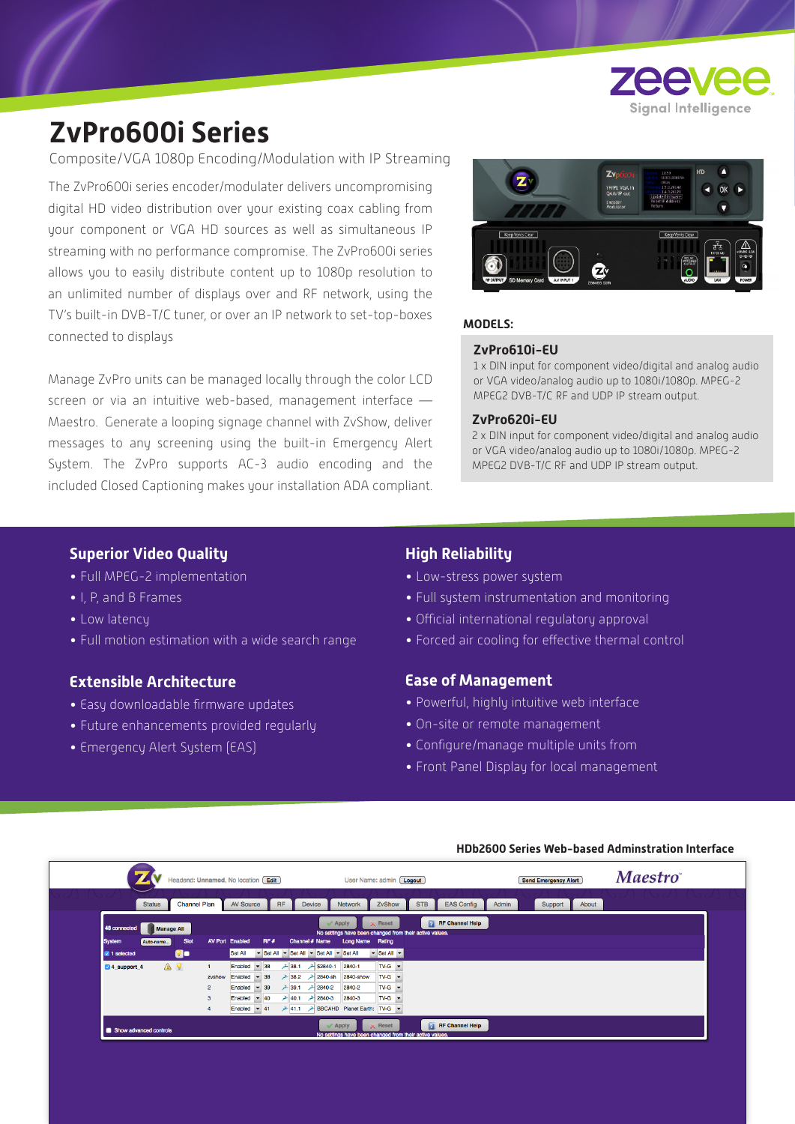

# **ZvPro600i Series**

Composite/VGA 1080p Encoding/Modulation with IP Streaming

The ZvPro600i series encoder/modulater delivers uncompromising digital HD video distribution over your existing coax cabling from your component or VGA HD sources as well as simultaneous IP streaming with no performance compromise. The ZvPro600i series allows you to easily distribute content up to 1080p resolution to an unlimited number of displays over and RF network, using the TV's built-in DVB-T/C tuner, or over an IP network to set-top-boxes connected to displays

Manage ZvPro units can be managed locally through the color LCD screen or via an intuitive web-based, management interface — Maestro. Generate a looping signage channel with ZvShow, deliver messages to any screening using the built-in Emergency Alert System. The ZvPro supports AC-3 audio encoding and the included Closed Captioning makes your installation ADA compliant.



#### **MODELS:**

#### **ZvPro610i-EU**

1 x DIN input for component video/digital and analog audio or VGA video/analog audio up to 1080i/1080p. MPEG-2 MPEG2 DVB-T/C RF and UDP IP stream output.

#### **ZvPro620i-EU**

2 x DIN input for component video/digital and analog audio or VGA video/analog audio up to 1080i/1080p. MPEG-2 MPEG2 DVB-T/C RF and UDP IP stream output.

## **Superior Video Quality**

- Full MPEG-2 implementation
- I, P, and B Frames
- Low latency
- Full motion estimation with a wide search range

# **Extensible Architecture**

- Easy downloadable firmware updates
- Future enhancements provided regularly
- Emergency Alert System (EAS)

# **High Reliability**

- Low-stress power system
- Full system instrumentation and monitoring
- Official international regulatory approval
- Forced air cooling for effective thermal control

### **Ease of Management**

- Powerful, highly intuitive web interface
- On-site or remote management
- Configure/manage multiple units from
- Front Panel Display for local management

#### **HDb2600 Series Web-based Adminstration Interface**

|                                                               | Headend: Unnamed, No location Edit                                                | User Name: admin [Logout]                                                                                                                                                             | <b>Send Emergency Alert</b> | <b>Maestro</b> |
|---------------------------------------------------------------|-----------------------------------------------------------------------------------|---------------------------------------------------------------------------------------------------------------------------------------------------------------------------------------|-----------------------------|----------------|
| <b>Channel Plan</b><br><b>Status</b>                          | <b>RF</b><br><b>AV Source</b>                                                     | ZvShow<br><b>STB</b><br><b>EAS Config</b><br>Network<br><b>Device</b>                                                                                                                 | Support<br>Admin<br>About   |                |
| 48 connected<br><b>Manage All</b>                             |                                                                                   | <b>RF</b> Channel Help<br>$\times$ Reset<br>$\mathcal$ Apply<br>No settings have been changed from their active values.                                                               |                             |                |
| <b>System</b><br>Slot<br>Auto-name<br>Qo<br>$\vee$ 1 selected | <b>AV Port Enabled</b><br>RF#<br>Set All                                          | Channel # Name<br>Long Name Rating<br>Set All - Set All - Set All - Set All<br>$\blacktriangleright$ Set All $\blacktriangleright$                                                    |                             |                |
| ▲ ?<br>4 support 4                                            | $-38$<br>Enabled<br>$-38$<br>zvshow<br>Enabled<br>$2^{\circ}$<br>Enabled<br>$-39$ | $TV-G$ $\rightarrow$<br>→ 38.1 → \$2840-1<br>2840-1<br>$TV-G$ $\rightarrow$<br>$+ 38.2$<br><b>→ 2840-sh</b><br>2840-show<br>2840-2<br>$TV-G$ $\rightarrow$<br>$\ge$ 39.1 $\ge$ 2840-2 |                             |                |
|                                                               | Enabled<br>$-40$<br>3<br>Enabled $\blacktriangledown$ 41                          | $TV-G$ $\rightarrow$<br>2840-3<br>240.1<br>$2840-3$<br>→ 41.1 → BBCAHD Planet Earth: TV-G →                                                                                           |                             |                |
| Show advanced controls                                        |                                                                                   | <b>RF</b> Channel Help<br>$\times$ Reset<br>$\mathcal$ Apply<br>No settings have been changed from their active values.                                                               |                             |                |